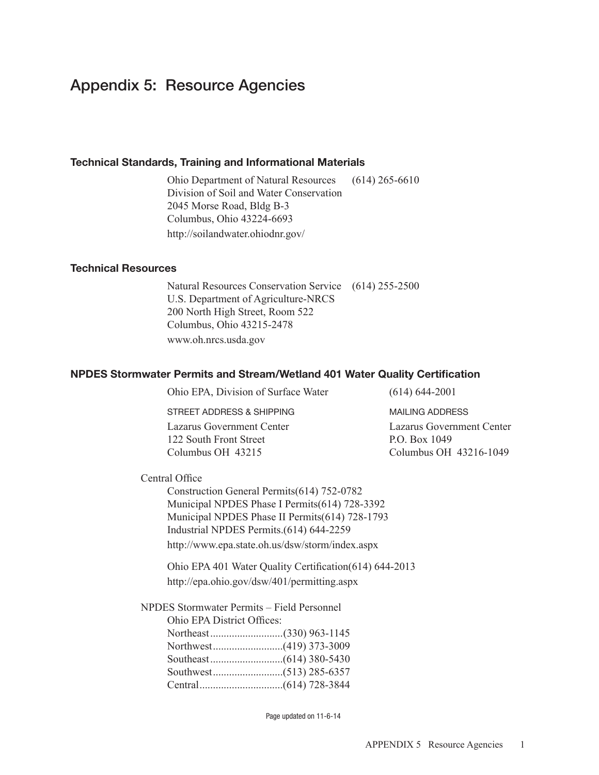# Appendix 5: Resource Agencies

#### Technical Standards, Training and Informational Materials

Ohio Department of Natural Resources (614) 265-6610 Division of Soil and Water Conservation 2045 Morse Road, Bldg B-3 Columbus, Ohio 43224-6693 http://soilandwater.ohiodnr.gov/

### Technical Resources

Natural Resources Conservation Service (614) 255-2500 U.S. Department of Agriculture-NRCS 200 North High Street, Room 522 Columbus, Ohio 43215-2478 www.oh.nrcs.usda.gov

#### NPDES Stormwater Permits and Stream/Wetland 401 Water Quality Certification

Ohio EPA, Division of Surface Water (614) 644-2001

street address & shipping mailing address

Lazarus Government Center Lazarus Government Center 122 South Front Street P.O. Box 1049 Columbus OH 43215 Columbus OH 43216-1049

 Central Office

Construction General Permits (614) 752-0782 Municipal NPDES Phase I Permits (614) 728-3392 Municipal NPDES Phase II Permits (614) 728-1793 Industrial NPDES Permits .(614) 644-2259 http://www.epa.state.oh.us/dsw/storm/index.aspx

Ohio EPA 401 Water Quality Certification (614) 644-2013 http://epa.ohio.gov/dsw/401/permitting.aspx

NPDES Stormwater Permits – Field Personnel

| Ohio EPA District Offices: |  |
|----------------------------|--|
|                            |  |
|                            |  |
|                            |  |
|                            |  |
|                            |  |

Page updated on 11-6-14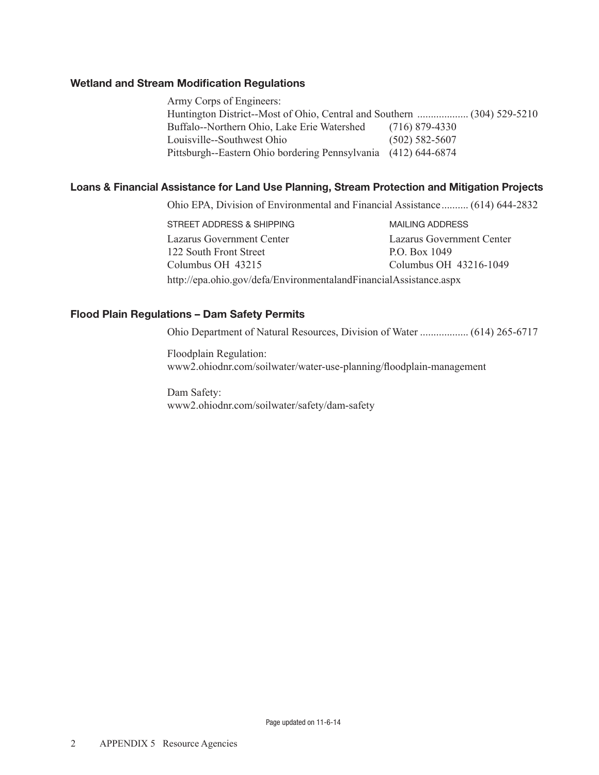## Wetland and Stream Modification Regulations

Army Corps of Engineers: Huntington District--Most of Ohio, Central and Southern ................... (304) 529-5210 Buffalo--Northern Ohio, Lake Erie Watershed (716) 879-4330 Louisville--Southwest Ohio (502) 582-5607 Pittsburgh--Eastern Ohio bordering Pennsylvania (412) 644-6874

# Loans & Financial Assistance for Land Use Planning, Stream Protection and Mitigation Projects

Ohio EPA, Division of Environmental and Financial Assistance .......... (614) 644-2832

STREET ADDRESS & SHIPPING MAILING ADDRESS Lazarus Government Center Lazarus Government Center 122 South Front Street P.O. Box 1049 Columbus OH 43215 Columbus OH 43216-1049 http://epa.ohio.gov/defa/EnvironmentalandFinancialAssistance.aspx

## Flood Plain Regulations – Dam Safety Permits

Ohio Department of Natural Resources, Division of Water .................. (614) 265-6717

Floodplain Regulation: www2.ohiodnr.com/soilwater/water-use-planning/floodplain-management

Dam Safety: www2.ohiodnr.com/soilwater/safety/dam-safety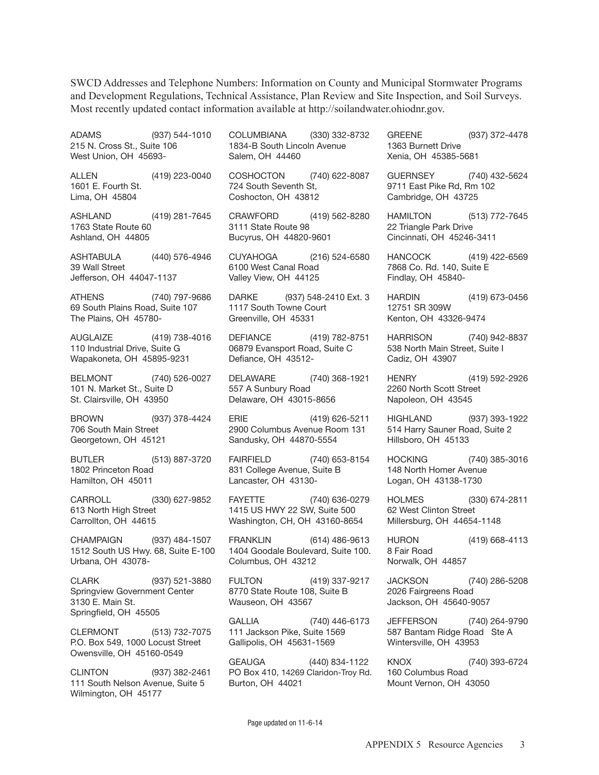SWCD Addresses and Telephone Numbers: Information on County and Municipal Stormwater Programs and Development Regulations, Technical Assistance, Plan Review and Site Inspection, and Soil Surveys. Most recently updated contact information available at http://soilandwater.ohiodnr.gov.

ADAMS (937) 544-1010 215 n. Cross st., suite 106 West Union, Oh 45693- ALLEN (419) 223-0040 1601 E. Fourth St. Lima, OH 45804 ashland (419) 281-7645 1763 State Route 60 ashland, Oh 44805 ashtaBUla (440) 576-4946 39 Wall street Jefferson, Oh 44047-1137 athens (740) 797-9686 69 South Plains Road, Suite 107 The Plains, OH 45780aUglaiZe (419) 738-4016 110 Industrial Drive, Suite G Wapakoneta, Oh 45895-9231 BelmOnt (740) 526-0027 101 N. Market St., Suite D st. Clairsville, Oh 43950 BrOWn (937) 378-4424 706 South Main Street Georgetown, OH 45121 BUtler (513) 887-3720 1802 Princeton Road hamilton, Oh 45011 CARROLL (330) 627-9852 613 North High Street Carrollton, Oh 44615 Champaign (937) 484-1507 1512 South US Hwy. 68, Suite E-100 Urbana, Oh 43078- ClarK (937) 521-3880 springview government Center 3130 E. Main St. springfield, Oh 45505 ClermOnt (513) 732-7075 P.O. Box 549, 1000 Locust Street Owensville, Oh 45160-0549 ClintOn (937) 382-2461 111 South Nelson Avenue, Suite 5 COlUmBiana (330) 332-8732 1834-B South Lincoln Avenue salem, Oh 44460 COSHOCTON (740) 622-8087 724 South Seventh St. Coshocton, Oh 43812 CraWFOrd (419) 562-8280 3111 State Route 98 Bucyrus, Oh 44820-9601 CUYahOga (216) 524-6580 6100 West Canal Road Valley View, Oh 44125 DARKE (937) 548-2410 Ext. 3 1117 South Towne Court Greenville, OH 45331 DEFIANCE (419) 782-8751 06879 Evansport Road, Suite C Defiance, OH 43512-DELAWARE (740) 368-1921 557 A Sunbury Road Delaware, OH 43015-8656 erie (419) 626-5211 2900 Columbus Avenue Room 131 sandusky, Oh 44870-5554 FAIRFIELD (740) 653-8154 831 College Avenue, Suite B Lancaster, OH 43130-FAYETTE (740) 636-0279 1415 Us hWY 22 sW, suite 500 Washington, CH, OH 43160-8654 FranKlin (614) 486-9613 1404 Goodale Boulevard, Suite 100. Columbus, Oh 43212 FUltOn (419) 337-9217 8770 State Route 108, Suite B Wauseon, Oh 43567 GALLIA (740) 446-6173 111 Jackson Pike, Suite 1569 gallipolis, Oh 45631-1569 GEAUGA (440) 834-1122 PO Box 410, 14269 Claridon-Troy Rd. Burton, Oh 44021 GREENE (937) 372-4478 1363 Burnett Drive Xenia, Oh 45385-5681 GUERNSEY (740) 432-5624 9711 East Pike Rd, Rm 102 Cambridge, Oh 43725 hamiltOn (513) 772-7645 22 Triangle Park Drive Cincinnati, Oh 45246-3411 hanCOCK (419) 422-6569 7868 Co. Rd. 140, Suite E Findlay, Oh 45840 hardin (419) 673-0456 12751 sr 309W Kenton, Oh 43326-9474 harrisOn (740) 942-8837 538 North Main Street, Suite I Cadiz, Oh 43907 henrY (419) 592-2926 2260 North Scott Street Napoleon, OH 43545 highland (937) 393-1922 514 Harry Sauner Road, Suite 2 hillsboro, Oh 45133 hOCKing (740) 385-3016 148 North Homer Avenue logan, Oh 43138-1730 hOlmes (330) 674-2811 62 West Clinton street millersburg, Oh 44654-1148 hUrOn (419) 668-4113 8 Fair Road Norwalk, OH 44857 JaCKsOn (740) 286-5208 2026 Fairgreens Road Jackson, Oh 45640-9057 JeFFersOn (740) 264-9790 587 Bantam Ridge Road Ste A Wintersville, Oh 43953 KnOX (740) 393-6724 160 Columbus Road Mount Vernon, OH 43050

Wilmington, Oh 45177